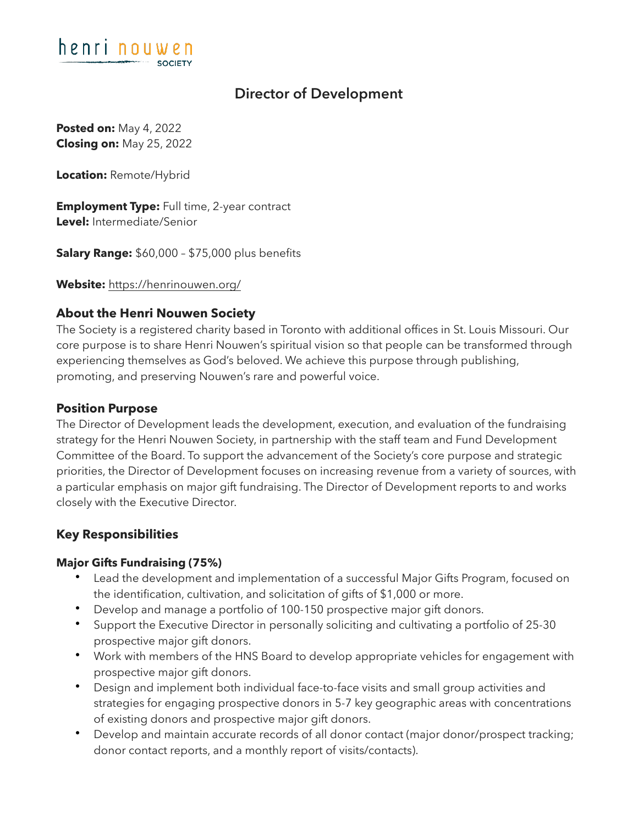

# **Director of Development**

**Posted on:** May 4, 2022 **Closing on:** May 25, 2022

**Location:** Remote/Hybrid

**Employment Type:** Full time, 2-year contract **Level:** Intermediate/Senior

**Salary Range:** \$60,000 – \$75,000 plus benefits

**Website:** <https://henrinouwen.org/>

# **About the Henri Nouwen Society**

The Society is a registered charity based in Toronto with additional offices in St. Louis Missouri. Our core purpose is to share Henri Nouwen's spiritual vision so that people can be transformed through experiencing themselves as God's beloved. We achieve this purpose through publishing, promoting, and preserving Nouwen's rare and powerful voice.

#### **Position Purpose**

The Director of Development leads the development, execution, and evaluation of the fundraising strategy for the Henri Nouwen Society, in partnership with the staff team and Fund Development Committee of the Board. To support the advancement of the Society's core purpose and strategic priorities, the Director of Development focuses on increasing revenue from a variety of sources, with a particular emphasis on major gift fundraising. The Director of Development reports to and works closely with the Executive Director.

#### **Key Responsibilities**

#### **Major Gifts Fundraising (75%)**

- Lead the development and implementation of a successful Major Gifts Program, focused on the identification, cultivation, and solicitation of gifts of \$1,000 or more.
- Develop and manage a portfolio of 100-150 prospective major gift donors.
- Support the Executive Director in personally soliciting and cultivating a portfolio of 25-30 prospective major gift donors.
- Work with members of the HNS Board to develop appropriate vehicles for engagement with prospective major gift donors.
- Design and implement both individual face-to-face visits and small group activities and strategies for engaging prospective donors in 5-7 key geographic areas with concentrations of existing donors and prospective major gift donors.
- Develop and maintain accurate records of all donor contact (major donor/prospect tracking; donor contact reports, and a monthly report of visits/contacts).